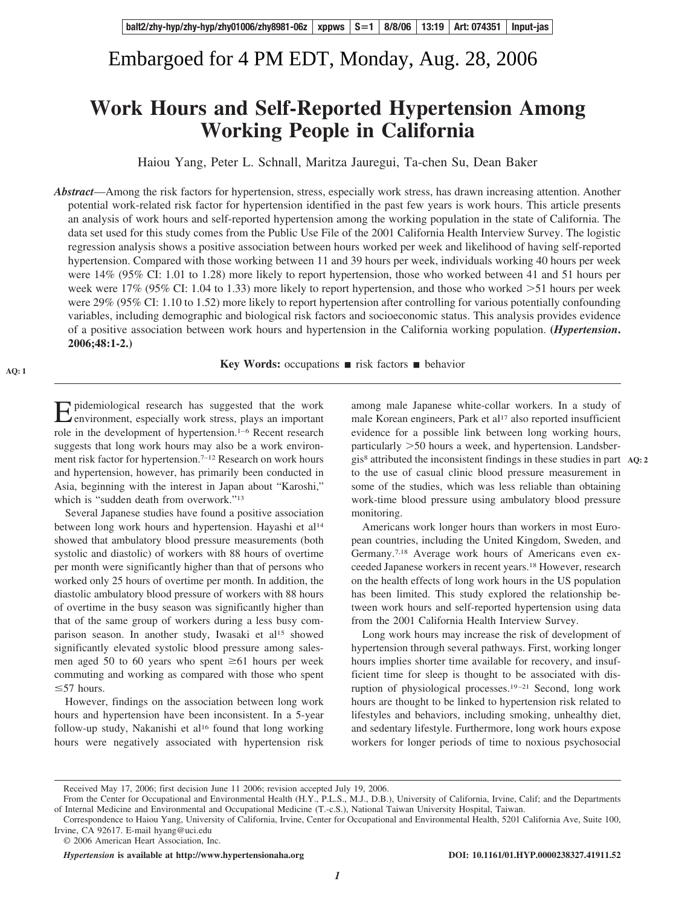# Embargoed for 4 PM EDT, Monday, Aug. 28, 2006

# **Work Hours and Self-Reported Hypertension Among Working People in California**

Haiou Yang, Peter L. Schnall, Maritza Jauregui, Ta-chen Su, Dean Baker

*Abstract*—Among the risk factors for hypertension, stress, especially work stress, has drawn increasing attention. Another potential work-related risk factor for hypertension identified in the past few years is work hours. This article presents an analysis of work hours and self-reported hypertension among the working population in the state of California. The data set used for this study comes from the Public Use File of the 2001 California Health Interview Survey. The logistic regression analysis shows a positive association between hours worked per week and likelihood of having self-reported hypertension. Compared with those working between 11 and 39 hours per week, individuals working 40 hours per week were 14% (95% CI: 1.01 to 1.28) more likely to report hypertension, those who worked between 41 and 51 hours per week were  $17\%$  (95% CI: 1.04 to 1.33) more likely to report hypertension, and those who worked  $>$ 51 hours per week were 29% (95% CI: 1.10 to 1.52) more likely to report hypertension after controlling for various potentially confounding variables, including demographic and biological risk factors and socioeconomic status. This analysis provides evidence of a positive association between work hours and hypertension in the California working population. **(***Hypertension***. 2006;48:1-2.)**

**Key Words:** occupations  $\blacksquare$  risk factors  $\blacksquare$  behavior

Epidemiological research has suggested that the work<br>environment, especially work stress, plays an important role in the development of hypertension.<sup>1-6</sup> Recent research suggests that long work hours may also be a work environment risk factor for hypertension.7–12 Research on work hours and hypertension, however, has primarily been conducted in Asia, beginning with the interest in Japan about "Karoshi," which is "sudden death from overwork."13

**AQ: 1**

Several Japanese studies have found a positive association between long work hours and hypertension. Hayashi et al<sup>14</sup> showed that ambulatory blood pressure measurements (both systolic and diastolic) of workers with 88 hours of overtime per month were significantly higher than that of persons who worked only 25 hours of overtime per month. In addition, the diastolic ambulatory blood pressure of workers with 88 hours of overtime in the busy season was significantly higher than that of the same group of workers during a less busy comparison season. In another study, Iwasaki et al<sup>15</sup> showed significantly elevated systolic blood pressure among salesmen aged 50 to 60 years who spent  $\geq 61$  hours per week commuting and working as compared with those who spent  $\leq$  57 hours.

However, findings on the association between long work hours and hypertension have been inconsistent. In a 5-year follow-up study, Nakanishi et al<sup>16</sup> found that long working hours were negatively associated with hypertension risk

among male Japanese white-collar workers. In a study of male Korean engineers, Park et al<sup>17</sup> also reported insufficient evidence for a possible link between long working hours, particularly 50 hours a week, and hypertension. Landsbergis8 attributed the inconsistent findings in these studies in part **AQ: 2** to the use of casual clinic blood pressure measurement in some of the studies, which was less reliable than obtaining work-time blood pressure using ambulatory blood pressure monitoring.

Americans work longer hours than workers in most European countries, including the United Kingdom, Sweden, and Germany.7,18 Average work hours of Americans even exceeded Japanese workers in recent years.18 However, research on the health effects of long work hours in the US population has been limited. This study explored the relationship between work hours and self-reported hypertension using data from the 2001 California Health Interview Survey.

Long work hours may increase the risk of development of hypertension through several pathways. First, working longer hours implies shorter time available for recovery, and insufficient time for sleep is thought to be associated with disruption of physiological processes.<sup>19-21</sup> Second, long work hours are thought to be linked to hypertension risk related to lifestyles and behaviors, including smoking, unhealthy diet, and sedentary lifestyle. Furthermore, long work hours expose workers for longer periods of time to noxious psychosocial

*Hypertension* is available at http://www.hypertensionaha.org DOI: 10.1161/01.HYP.0000238327.41911.52

Received May 17, 2006; first decision June 11 2006; revision accepted July 19, 2006.

From the Center for Occupational and Environmental Health (H.Y., P.L.S., M.J., D.B.), University of California, Irvine, Calif; and the Departments of Internal Medicine and Environmental and Occupational Medicine (T.-c.S.), National Taiwan University Hospital, Taiwan.

Correspondence to Haiou Yang, University of California, Irvine, Center for Occupational and Environmental Health, 5201 California Ave, Suite 100, Irvine, CA 92617. E-mail hyang@uci.edu

<sup>© 2006</sup> American Heart Association, Inc.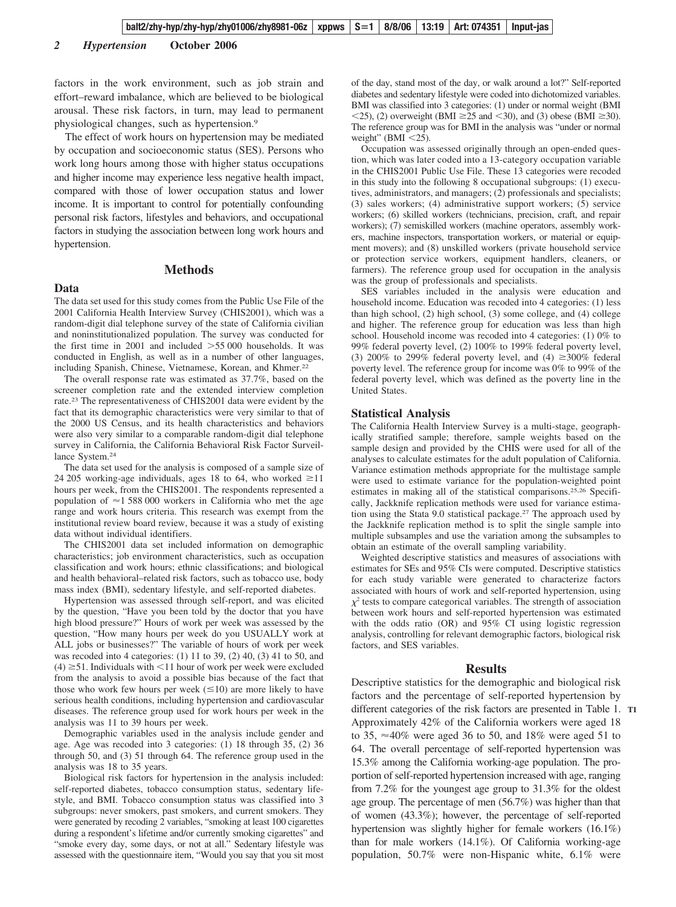factors in the work environment, such as job strain and effort–reward imbalance, which are believed to be biological arousal. These risk factors, in turn, may lead to permanent physiological changes, such as hypertension.9

The effect of work hours on hypertension may be mediated by occupation and socioeconomic status (SES). Persons who work long hours among those with higher status occupations and higher income may experience less negative health impact, compared with those of lower occupation status and lower income. It is important to control for potentially confounding personal risk factors, lifestyles and behaviors, and occupational factors in studying the association between long work hours and hypertension.

#### **Data**

# **Methods**

The data set used for this study comes from the Public Use File of the 2001 California Health Interview Survey (CHIS2001), which was a random-digit dial telephone survey of the state of California civilian and noninstitutionalized population. The survey was conducted for the first time in 2001 and included  $>55 000$  households. It was conducted in English, as well as in a number of other languages, including Spanish, Chinese, Vietnamese, Korean, and Khmer.<sup>22</sup>

The overall response rate was estimated as 37.7%, based on the screener completion rate and the extended interview completion rate.23 The representativeness of CHIS2001 data were evident by the fact that its demographic characteristics were very similar to that of the 2000 US Census, and its health characteristics and behaviors were also very similar to a comparable random-digit dial telephone survey in California, the California Behavioral Risk Factor Surveillance System.24

The data set used for the analysis is composed of a sample size of 24 205 working-age individuals, ages 18 to 64, who worked  $\geq$ 11 hours per week, from the CHIS2001. The respondents represented a population of  $\approx$  1 588 000 workers in California who met the age range and work hours criteria. This research was exempt from the institutional review board review, because it was a study of existing data without individual identifiers.

The CHIS2001 data set included information on demographic characteristics; job environment characteristics, such as occupation classification and work hours; ethnic classifications; and biological and health behavioral–related risk factors, such as tobacco use, body mass index (BMI), sedentary lifestyle, and self-reported diabetes.

Hypertension was assessed through self-report, and was elicited by the question, "Have you been told by the doctor that you have high blood pressure?" Hours of work per week was assessed by the question, "How many hours per week do you USUALLY work at ALL jobs or businesses?" The variable of hours of work per week was recoded into 4 categories: (1) 11 to 39, (2) 40, (3) 41 to 50, and  $(4) \geq 51$ . Individuals with  $\leq 11$  hour of work per week were excluded from the analysis to avoid a possible bias because of the fact that those who work few hours per week  $(\leq 10)$  are more likely to have serious health conditions, including hypertension and cardiovascular diseases. The reference group used for work hours per week in the analysis was 11 to 39 hours per week.

Demographic variables used in the analysis include gender and age. Age was recoded into 3 categories: (1) 18 through 35, (2) 36 through 50, and (3) 51 through 64. The reference group used in the analysis was 18 to 35 years.

Biological risk factors for hypertension in the analysis included: self-reported diabetes, tobacco consumption status, sedentary lifestyle, and BMI. Tobacco consumption status was classified into 3 subgroups: never smokers, past smokers, and current smokers. They were generated by recoding 2 variables, "smoking at least 100 cigarettes during a respondent's lifetime and/or currently smoking cigarettes" and "smoke every day, some days, or not at all." Sedentary lifestyle was assessed with the questionnaire item, "Would you say that you sit most

of the day, stand most of the day, or walk around a lot?" Self-reported diabetes and sedentary lifestyle were coded into dichotomized variables. BMI was classified into 3 categories: (1) under or normal weight (BMI  $\langle 25 \rangle$ , (2) overweight (BMI  $\geq 25$  and  $\langle 30 \rangle$ , and (3) obese (BMI  $\geq 30$ ). The reference group was for BMI in the analysis was "under or normal weight" (BMI  $<$ 25).

Occupation was assessed originally through an open-ended question, which was later coded into a 13-category occupation variable in the CHIS2001 Public Use File. These 13 categories were recoded in this study into the following 8 occupational subgroups: (1) executives, administrators, and managers; (2) professionals and specialists; (3) sales workers; (4) administrative support workers; (5) service workers; (6) skilled workers (technicians, precision, craft, and repair workers); (7) semiskilled workers (machine operators, assembly workers, machine inspectors, transportation workers, or material or equipment movers); and (8) unskilled workers (private household service or protection service workers, equipment handlers, cleaners, or farmers). The reference group used for occupation in the analysis was the group of professionals and specialists.

SES variables included in the analysis were education and household income. Education was recoded into 4 categories: (1) less than high school, (2) high school, (3) some college, and (4) college and higher. The reference group for education was less than high school. Household income was recoded into 4 categories: (1) 0% to 99% federal poverty level, (2) 100% to 199% federal poverty level, (3) 200% to 299% federal poverty level, and (4)  $\geq 300\%$  federal poverty level. The reference group for income was 0% to 99% of the federal poverty level, which was defined as the poverty line in the United States.

#### **Statistical Analysis**

The California Health Interview Survey is a multi-stage, geographically stratified sample; therefore, sample weights based on the sample design and provided by the CHIS were used for all of the analyses to calculate estimates for the adult population of California. Variance estimation methods appropriate for the multistage sample were used to estimate variance for the population-weighted point estimates in making all of the statistical comparisons.25,26 Specifically, Jackknife replication methods were used for variance estimation using the Stata 9.0 statistical package.<sup>27</sup> The approach used by the Jackknife replication method is to split the single sample into multiple subsamples and use the variation among the subsamples to obtain an estimate of the overall sampling variability.

Weighted descriptive statistics and measures of associations with estimates for SEs and 95% CIs were computed. Descriptive statistics for each study variable were generated to characterize factors associated with hours of work and self-reported hypertension, using  $\chi^2$  tests to compare categorical variables. The strength of association between work hours and self-reported hypertension was estimated with the odds ratio (OR) and 95% CI using logistic regression analysis, controlling for relevant demographic factors, biological risk factors, and SES variables.

#### **Results**

Descriptive statistics for the demographic and biological risk factors and the percentage of self-reported hypertension by different categories of the risk factors are presented in Table 1. **T1** Approximately 42% of the California workers were aged 18 to 35,  $\approx$ 40% were aged 36 to 50, and 18% were aged 51 to 64. The overall percentage of self-reported hypertension was 15.3% among the California working-age population. The proportion of self-reported hypertension increased with age, ranging from 7.2% for the youngest age group to 31.3% for the oldest age group. The percentage of men (56.7%) was higher than that of women (43.3%); however, the percentage of self-reported hypertension was slightly higher for female workers (16.1%) than for male workers (14.1%). Of California working-age population, 50.7% were non-Hispanic white, 6.1% were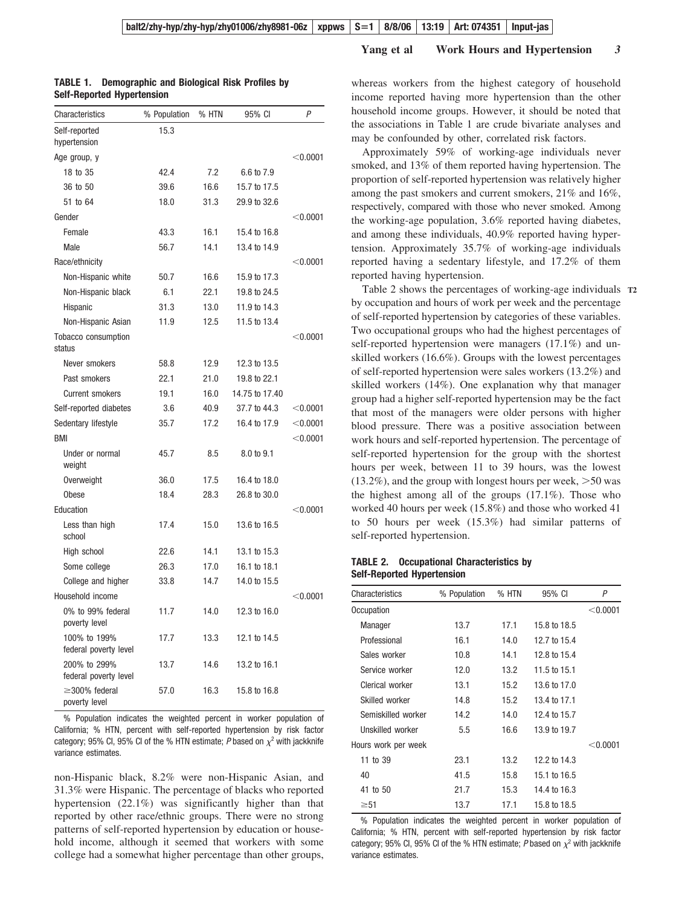#### **Yang et al Work Hours and Hypertension** *3*

| Characteristics                       | % Population | % HTN | 95% CI         | P          |
|---------------------------------------|--------------|-------|----------------|------------|
| Self-reported<br>hypertension         | 15.3         |       |                |            |
| Age group, y                          |              |       |                | $<$ 0.0001 |
| 18 to 35                              | 42.4         | 7.2   | 6.6 to 7.9     |            |
| 36 to 50                              | 39.6         | 16.6  | 15.7 to 17.5   |            |
| 51 to 64                              | 18.0         | 31.3  | 29.9 to 32.6   |            |
| Gender                                |              |       |                | $<$ 0.0001 |
| Female                                | 43.3         | 16.1  | 15.4 to 16.8   |            |
| Male                                  | 56.7         | 14.1  | 13.4 to 14.9   |            |
| Race/ethnicity                        |              |       |                | < 0.0001   |
| Non-Hispanic white                    | 50.7         | 16.6  | 15.9 to 17.3   |            |
| Non-Hispanic black                    | 6.1          | 22.1  | 19.8 to 24.5   |            |
| Hispanic                              | 31.3         | 13.0  | 11.9 to 14.3   |            |
| Non-Hispanic Asian                    | 11.9         | 12.5  | 11.5 to 13.4   |            |
| Tobacco consumption<br>status         |              |       |                | $<$ 0.0001 |
| Never smokers                         | 58.8         | 12.9  | 12.3 to 13.5   |            |
| Past smokers                          | 22.1         | 21.0  | 19.8 to 22.1   |            |
| <b>Current smokers</b>                | 19.1         | 16.0  | 14.75 to 17.40 |            |
| Self-reported diabetes                | 3.6          | 40.9  | 37.7 to 44.3   | $<$ 0.0001 |
| Sedentary lifestyle                   | 35.7         | 17.2  | 16.4 to 17.9   | $<$ 0.0001 |
| <b>BMI</b>                            |              |       |                | $<$ 0.0001 |
| Under or normal<br>weight             | 45.7         | 8.5   | 8.0 to 9.1     |            |
| Overweight                            | 36.0         | 17.5  | 16.4 to 18.0   |            |
| Obese                                 | 18.4         | 28.3  | 26.8 to 30.0   |            |
| Education                             |              |       |                | $<$ 0.0001 |
| Less than high<br>school              | 17.4         | 15.0  | 13.6 to 16.5   |            |
| High school                           | 22.6         | 14.1  | 13.1 to 15.3   |            |
| Some college                          | 26.3         | 17.0  | 16.1 to 18.1   |            |
| College and higher                    | 33.8         | 14.7  | 14.0 to 15.5   |            |
| Household income                      |              |       |                | $<$ 0.0001 |
| 0% to 99% federal<br>poverty level    | 11.7         | 14.0  | 12.3 to 16.0   |            |
| 100% to 199%<br>federal poverty level | 17.7         | 13.3  | 12.1 to 14.5   |            |
| 200% to 299%<br>federal poverty level | 13.7         | 14.6  | 13.2 to 16.1   |            |
| $\geq$ 300% federal<br>poverty level  | 57.0         | 16.3  | 15.8 to 16.8   |            |

### **TABLE 1. Demographic and Biological Risk Profiles by Self-Reported Hypertension**

% Population indicates the weighted percent in worker population of California; % HTN, percent with self-reported hypertension by risk factor category; 95% CI, 95% CI of the % HTN estimate; *P* based on  $\chi^2$  with jackknife variance estimates.

non-Hispanic black, 8.2% were non-Hispanic Asian, and 31.3% were Hispanic. The percentage of blacks who reported hypertension (22.1%) was significantly higher than that reported by other race/ethnic groups. There were no strong patterns of self-reported hypertension by education or household income, although it seemed that workers with some college had a somewhat higher percentage than other groups, whereas workers from the highest category of household income reported having more hypertension than the other household income groups. However, it should be noted that the associations in Table 1 are crude bivariate analyses and may be confounded by other, correlated risk factors.

Approximately 59% of working-age individuals never smoked, and 13% of them reported having hypertension. The proportion of self-reported hypertension was relatively higher among the past smokers and current smokers, 21% and 16%, respectively, compared with those who never smoked. Among the working-age population, 3.6% reported having diabetes, and among these individuals, 40.9% reported having hypertension. Approximately 35.7% of working-age individuals reported having a sedentary lifestyle, and 17.2% of them reported having hypertension.

Table 2 shows the percentages of working-age individuals **T2** by occupation and hours of work per week and the percentage of self-reported hypertension by categories of these variables. Two occupational groups who had the highest percentages of self-reported hypertension were managers (17.1%) and unskilled workers (16.6%). Groups with the lowest percentages of self-reported hypertension were sales workers (13.2%) and skilled workers (14%). One explanation why that manager group had a higher self-reported hypertension may be the fact that most of the managers were older persons with higher blood pressure. There was a positive association between work hours and self-reported hypertension. The percentage of self-reported hypertension for the group with the shortest hours per week, between 11 to 39 hours, was the lowest  $(13.2\%)$ , and the group with longest hours per week,  $>50$  was the highest among all of the groups (17.1%). Those who worked 40 hours per week (15.8%) and those who worked 41 to 50 hours per week (15.3%) had similar patterns of self-reported hypertension.

### **TABLE 2. Occupational Characteristics by Self-Reported Hypertension**

| Characteristics     | % Population | % HTN | 95% CI       | Ρ        |
|---------------------|--------------|-------|--------------|----------|
| Occupation          |              |       |              | < 0.0001 |
| Manager             | 13.7         | 17.1  | 15.8 to 18.5 |          |
| Professional        | 16.1         | 14.0  | 12.7 to 15.4 |          |
| Sales worker        | 10.8         | 14.1  | 12.8 to 15.4 |          |
| Service worker      | 12.0         | 13.2  | 11.5 to 15.1 |          |
| Clerical worker     | 13.1         | 15.2  | 13.6 to 17.0 |          |
| Skilled worker      | 14.8         | 15.2  | 13.4 to 17.1 |          |
| Semiskilled worker  | 14.2         | 14.0  | 12.4 to 15.7 |          |
| Unskilled worker    | 5.5          | 16.6  | 13.9 to 19.7 |          |
| Hours work per week |              |       |              | < 0.0001 |
| 11 to 39            | 23.1         | 13.2  | 12.2 to 14.3 |          |
| 40                  | 41.5         | 15.8  | 15.1 to 16.5 |          |
| 41 to 50            | 21.7         | 15.3  | 14.4 to 16.3 |          |
| $\geq 51$           | 13.7         | 17.1  | 15.8 to 18.5 |          |

% Population indicates the weighted percent in worker population of California; % HTN, percent with self-reported hypertension by risk factor category; 95% CI, 95% CI of the % HTN estimate; P based on  $\chi^2$  with jackknife variance estimates.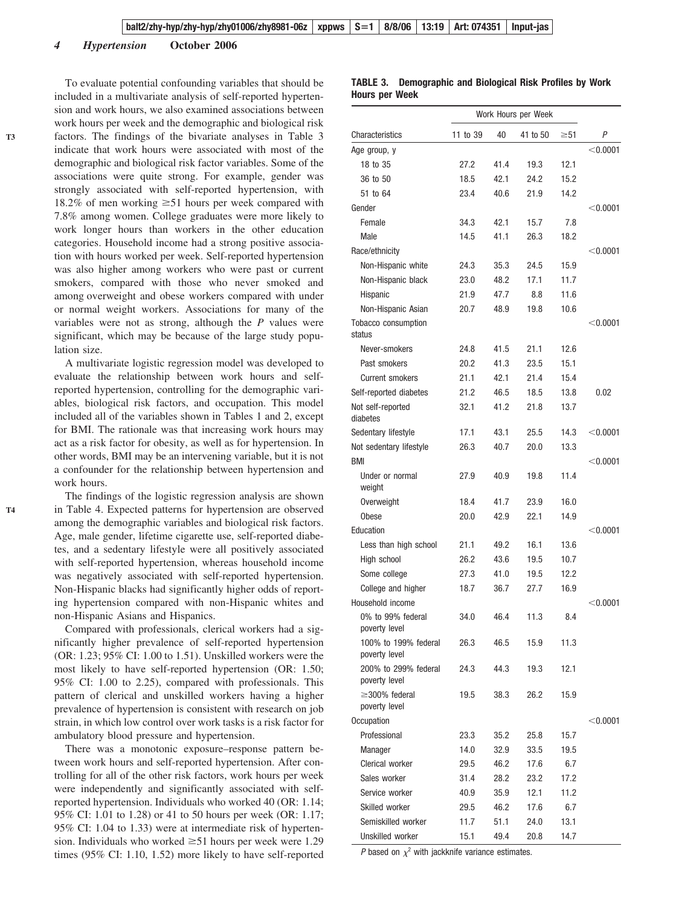#### *4 Hypertension* **October 2006**

**T4**

To evaluate potential confounding variables that should be included in a multivariate analysis of self-reported hypertension and work hours, we also examined associations between work hours per week and the demographic and biological risk factors. The findings of the bivariate analyses in Table 3 indicate that work hours were associated with most of the demographic and biological risk factor variables. Some of the associations were quite strong. For example, gender was strongly associated with self-reported hypertension, with 18.2% of men working  $\geq 51$  hours per week compared with 7.8% among women. College graduates were more likely to work longer hours than workers in the other education categories. Household income had a strong positive association with hours worked per week. Self-reported hypertension was also higher among workers who were past or current smokers, compared with those who never smoked and among overweight and obese workers compared with under or normal weight workers. Associations for many of the variables were not as strong, although the *P* values were significant, which may be because of the large study population size.

A multivariate logistic regression model was developed to evaluate the relationship between work hours and selfreported hypertension, controlling for the demographic variables, biological risk factors, and occupation. This model included all of the variables shown in Tables 1 and 2, except for BMI. The rationale was that increasing work hours may act as a risk factor for obesity, as well as for hypertension. In other words, BMI may be an intervening variable, but it is not a confounder for the relationship between hypertension and work hours.

The findings of the logistic regression analysis are shown in Table 4. Expected patterns for hypertension are observed among the demographic variables and biological risk factors. Age, male gender, lifetime cigarette use, self-reported diabetes, and a sedentary lifestyle were all positively associated with self-reported hypertension, whereas household income was negatively associated with self-reported hypertension. Non-Hispanic blacks had significantly higher odds of reporting hypertension compared with non-Hispanic whites and non-Hispanic Asians and Hispanics.

Compared with professionals, clerical workers had a significantly higher prevalence of self-reported hypertension (OR: 1.23; 95% CI: 1.00 to 1.51). Unskilled workers were the most likely to have self-reported hypertension (OR: 1.50; 95% CI: 1.00 to 2.25), compared with professionals. This pattern of clerical and unskilled workers having a higher prevalence of hypertension is consistent with research on job strain, in which low control over work tasks is a risk factor for ambulatory blood pressure and hypertension.

There was a monotonic exposure–response pattern between work hours and self-reported hypertension. After controlling for all of the other risk factors, work hours per week were independently and significantly associated with selfreported hypertension. Individuals who worked 40 (OR: 1.14; 95% CI: 1.01 to 1.28) or 41 to 50 hours per week (OR: 1.17; 95% CI: 1.04 to 1.33) were at intermediate risk of hypertension. Individuals who worked  $\geq 51$  hours per week were 1.29 times (95% CI: 1.10, 1.52) more likely to have self-reported

| Characteristics                       | 11 to 39 | 40   | 41 to 50 | $\geq 51$ | P          |
|---------------------------------------|----------|------|----------|-----------|------------|
| Age group, y                          |          |      |          |           | $<$ 0.0001 |
| 18 to 35                              | 27.2     | 41.4 | 19.3     | 12.1      |            |
| 36 to 50                              | 18.5     | 42.1 | 24.2     | 15.2      |            |
| 51 to 64                              | 23.4     | 40.6 | 21.9     | 14.2      |            |
| Gender                                |          |      |          |           | $<$ 0.0001 |
| Female                                | 34.3     | 42.1 | 15.7     | 7.8       |            |
| Male                                  | 14.5     | 41.1 | 26.3     | 18.2      |            |
| Race/ethnicity                        |          |      |          |           | < 0.0001   |
| Non-Hispanic white                    | 24.3     | 35.3 | 24.5     | 15.9      |            |
| Non-Hispanic black                    | 23.0     | 48.2 | 17.1     | 11.7      |            |
| Hispanic                              | 21.9     | 47.7 | 8.8      | 11.6      |            |
| Non-Hispanic Asian                    | 20.7     | 48.9 | 19.8     | 10.6      |            |
| Tobacco consumption<br>status         |          |      |          |           | < 0.0001   |
| Never-smokers                         | 24.8     | 41.5 | 21.1     | 12.6      |            |
| Past smokers                          | 20.2     | 41.3 | 23.5     | 15.1      |            |
| <b>Current smokers</b>                | 21.1     | 42.1 | 21.4     | 15.4      |            |
| Self-reported diabetes                | 21.2     | 46.5 | 18.5     | 13.8      | 0.02       |
| Not self-reported<br>diabetes         | 32.1     | 41.2 | 21.8     | 13.7      |            |
| Sedentary lifestyle                   | 17.1     | 43.1 | 25.5     | 14.3      | $<$ 0.0001 |
| Not sedentary lifestyle               | 26.3     | 40.7 | 20.0     | 13.3      |            |
| <b>BMI</b>                            |          |      |          |           | $<$ 0.0001 |
| Under or normal<br>weight             | 27.9     | 40.9 | 19.8     | 11.4      |            |
| Overweight                            | 18.4     | 41.7 | 23.9     | 16.0      |            |
| <b>Obese</b>                          | 20.0     | 42.9 | 22.1     | 14.9      |            |
| Education                             |          |      |          |           | $<$ 0.0001 |
| Less than high school                 | 21.1     | 49.2 | 16.1     | 13.6      |            |
| High school                           | 26.2     | 43.6 | 19.5     | 10.7      |            |
| Some college                          | 27.3     | 41.0 | 19.5     | 12.2      |            |
| College and higher                    | 18.7     | 36.7 | 27.7     | 16.9      |            |
| Household income                      |          |      |          |           | < 0.0001   |
| 0% to 99% federal<br>poverty level    | 34.0     | 46.4 | 11.3     | 8.4       |            |
| 100% to 199% federal<br>poverty level | 26.3     | 46.5 | 15.9     | 11.3      |            |
| 200% to 299% federal<br>poverty level | 24.3     | 44.3 | 19.3     | 12.1      |            |
| $\geq$ 300% federal<br>poverty level  | 19.5     | 38.3 | 26.2     | 15.9      |            |
| Occupation                            |          |      |          |           | < 0.0001   |
| Professional                          | 23.3     | 35.2 | 25.8     | 15.7      |            |
| Manager                               | 14.0     | 32.9 | 33.5     | 19.5      |            |
| Clerical worker                       | 29.5     | 46.2 | 17.6     | 6.7       |            |
| Sales worker                          | 31.4     | 28.2 | 23.2     | 17.2      |            |
| Service worker                        | 40.9     | 35.9 | 12.1     | 11.2      |            |
| Skilled worker                        | 29.5     | 46.2 | 17.6     | 6.7       |            |
| Semiskilled worker                    | 11.7     | 51.1 | 24.0     | 13.1      |            |
| Unskilled worker                      | 15.1     | 49.4 | 20.8     | 14.7      |            |

#### **TABLE 3. Demographic and Biological Risk Profiles by Work Hours per Week**

Work Hours per Week

*P* based on  $\chi^2$  with jackknife variance estimates.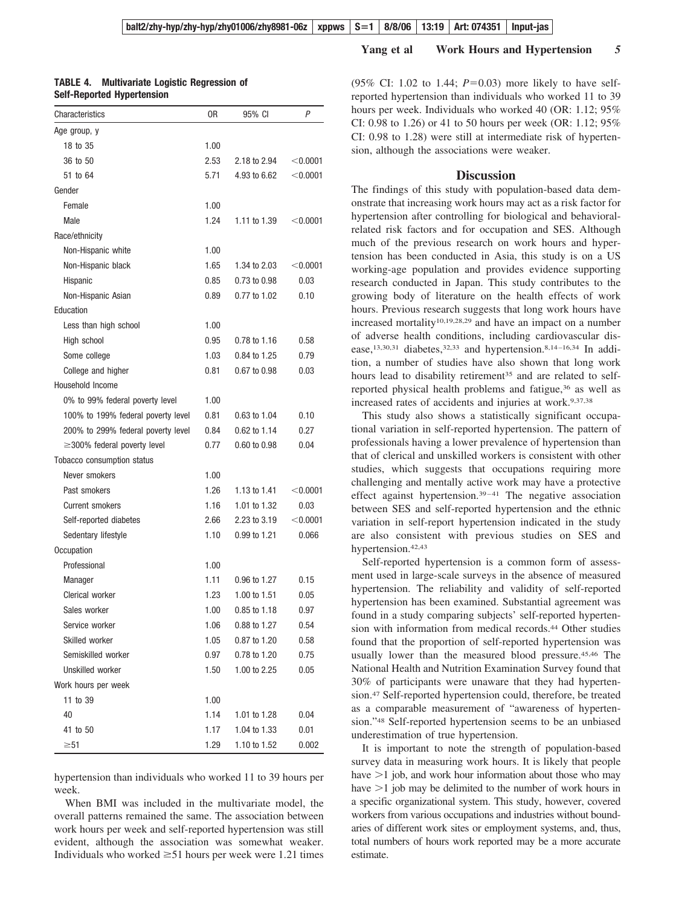| TABLE 4. | <b>Multivariate Logistic Regression of</b> |  |  |
|----------|--------------------------------------------|--|--|
|          | <b>Self-Reported Hypertension</b>          |  |  |

| Characteristics                    | 0R   | 95% CI       | P          |
|------------------------------------|------|--------------|------------|
| Age group, y                       |      |              |            |
| 18 to 35                           | 1.00 |              |            |
| 36 to 50                           | 2.53 | 2.18 to 2.94 | < 0.0001   |
| 51 to 64                           | 5.71 | 4.93 to 6.62 | $<$ 0.0001 |
| Gender                             |      |              |            |
| Female                             | 1.00 |              |            |
| Male                               | 1.24 | 1.11 to 1.39 | $<$ 0.0001 |
| Race/ethnicity                     |      |              |            |
| Non-Hispanic white                 | 1.00 |              |            |
| Non-Hispanic black                 | 1.65 | 1.34 to 2.03 | < 0.0001   |
| Hispanic                           | 0.85 | 0.73 to 0.98 | 0.03       |
| Non-Hispanic Asian                 | 0.89 | 0.77 to 1.02 | 0.10       |
| Education                          |      |              |            |
| Less than high school              | 1.00 |              |            |
| High school                        | 0.95 | 0.78 to 1.16 | 0.58       |
| Some college                       | 1.03 | 0.84 to 1.25 | 0.79       |
| College and higher                 | 0.81 | 0.67 to 0.98 | 0.03       |
| Household Income                   |      |              |            |
| 0% to 99% federal poverty level    | 1.00 |              |            |
| 100% to 199% federal poverty level | 0.81 | 0.63 to 1.04 | 0.10       |
| 200% to 299% federal poverty level | 0.84 | 0.62 to 1.14 | 0.27       |
| $\geq$ 300% federal poverty level  | 0.77 | 0.60 to 0.98 | 0.04       |
| Tobacco consumption status         |      |              |            |
| Never smokers                      | 1.00 |              |            |
| Past smokers                       | 1.26 | 1.13 to 1.41 | < 0.0001   |
| <b>Current smokers</b>             | 1.16 | 1.01 to 1.32 | 0.03       |
| Self-reported diabetes             | 2.66 | 2.23 to 3.19 | < 0.0001   |
| Sedentary lifestyle                | 1.10 | 0.99 to 1.21 | 0.066      |
| Occupation                         |      |              |            |
| Professional                       | 1.00 |              |            |
| Manager                            | 1.11 | 0.96 to 1.27 | 0.15       |
| Clerical worker                    | 1.23 | 1.00 to 1.51 | 0.05       |
| Sales worker                       | 1.00 | 0.85 to 1.18 | 0.97       |
| Service worker                     | 1.06 | 0.88 to 1.27 | 0.54       |
| Skilled worker                     | 1.05 | 0.87 to 1.20 | 0.58       |
| Semiskilled worker                 | 0.97 | 0.78 to 1.20 | 0.75       |
| Unskilled worker                   | 1.50 | 1.00 to 2.25 | 0.05       |
| Work hours per week                |      |              |            |
| 11 to 39                           | 1.00 |              |            |
| 40                                 | 1.14 | 1.01 to 1.28 | 0.04       |
| 41 to 50                           | 1.17 | 1.04 to 1.33 | 0.01       |
| $\geq 51$                          | 1.29 | 1.10 to 1.52 | 0.002      |

hypertension than individuals who worked 11 to 39 hours per week.

When BMI was included in the multivariate model, the overall patterns remained the same. The association between work hours per week and self-reported hypertension was still evident, although the association was somewhat weaker. Individuals who worked  $\geq 51$  hours per week were 1.21 times  $(95\% \text{ CI: } 1.02 \text{ to } 1.44; P=0.03)$  more likely to have selfreported hypertension than individuals who worked 11 to 39 hours per week. Individuals who worked 40 (OR: 1.12; 95% CI: 0.98 to 1.26) or 41 to 50 hours per week (OR: 1.12; 95% CI: 0.98 to 1.28) were still at intermediate risk of hypertension, although the associations were weaker.

## **Discussion**

The findings of this study with population-based data demonstrate that increasing work hours may act as a risk factor for hypertension after controlling for biological and behavioralrelated risk factors and for occupation and SES. Although much of the previous research on work hours and hypertension has been conducted in Asia, this study is on a US working-age population and provides evidence supporting research conducted in Japan. This study contributes to the growing body of literature on the health effects of work hours. Previous research suggests that long work hours have increased mortality<sup>10,19,28,29</sup> and have an impact on a number of adverse health conditions, including cardiovascular disease,<sup>13,30,31</sup> diabetes,<sup>32,33</sup> and hypertension.<sup>8,14-16,34</sup> In addition, a number of studies have also shown that long work hours lead to disability retirement<sup>35</sup> and are related to selfreported physical health problems and fatigue,36 as well as increased rates of accidents and injuries at work.<sup>9,37,38</sup>

This study also shows a statistically significant occupational variation in self-reported hypertension. The pattern of professionals having a lower prevalence of hypertension than that of clerical and unskilled workers is consistent with other studies, which suggests that occupations requiring more challenging and mentally active work may have a protective effect against hypertension. $39-41$  The negative association between SES and self-reported hypertension and the ethnic variation in self-report hypertension indicated in the study are also consistent with previous studies on SES and hypertension.42,43

Self-reported hypertension is a common form of assessment used in large-scale surveys in the absence of measured hypertension. The reliability and validity of self-reported hypertension has been examined. Substantial agreement was found in a study comparing subjects' self-reported hypertension with information from medical records.<sup>44</sup> Other studies found that the proportion of self-reported hypertension was usually lower than the measured blood pressure.45,46 The National Health and Nutrition Examination Survey found that 30% of participants were unaware that they had hypertension.47 Self-reported hypertension could, therefore, be treated as a comparable measurement of "awareness of hypertension."48 Self-reported hypertension seems to be an unbiased underestimation of true hypertension.

It is important to note the strength of population-based survey data in measuring work hours. It is likely that people have  $>1$  job, and work hour information about those who may have  $>1$  job may be delimited to the number of work hours in a specific organizational system. This study, however, covered workers from various occupations and industries without boundaries of different work sites or employment systems, and, thus, total numbers of hours work reported may be a more accurate estimate.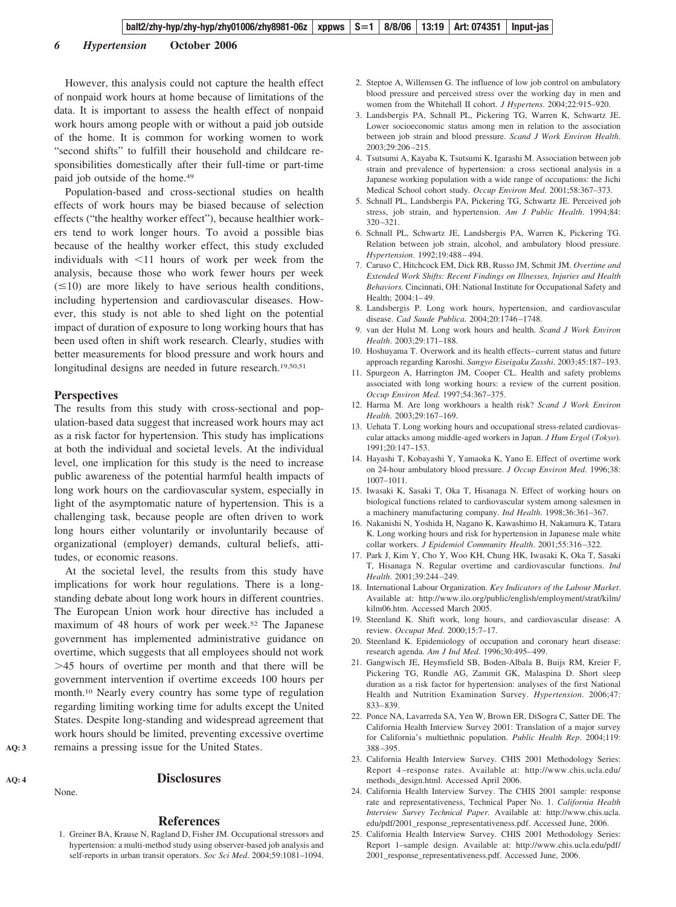#### *6 Hypertension* **October 2006**

However, this analysis could not capture the health effect of nonpaid work hours at home because of limitations of the data. It is important to assess the health effect of nonpaid work hours among people with or without a paid job outside of the home. It is common for working women to work "second shifts" to fulfill their household and childcare responsibilities domestically after their full-time or part-time paid job outside of the home.49

Population-based and cross-sectional studies on health effects of work hours may be biased because of selection effects ("the healthy worker effect"), because healthier workers tend to work longer hours. To avoid a possible bias because of the healthy worker effect, this study excluded individuals with  $\leq 11$  hours of work per week from the analysis, because those who work fewer hours per week  $(\leq 10)$  are more likely to have serious health conditions, including hypertension and cardiovascular diseases. However, this study is not able to shed light on the potential impact of duration of exposure to long working hours that has been used often in shift work research. Clearly, studies with better measurements for blood pressure and work hours and longitudinal designs are needed in future research.<sup>19,50,51</sup>

#### **Perspectives**

The results from this study with cross-sectional and population-based data suggest that increased work hours may act as a risk factor for hypertension. This study has implications at both the individual and societal levels. At the individual level, one implication for this study is the need to increase public awareness of the potential harmful health impacts of long work hours on the cardiovascular system, especially in light of the asymptomatic nature of hypertension. This is a challenging task, because people are often driven to work long hours either voluntarily or involuntarily because of organizational (employer) demands, cultural beliefs, attitudes, or economic reasons.

At the societal level, the results from this study have implications for work hour regulations. There is a longstanding debate about long work hours in different countries. The European Union work hour directive has included a maximum of 48 hours of work per week.52 The Japanese government has implemented administrative guidance on overtime, which suggests that all employees should not work 45 hours of overtime per month and that there will be government intervention if overtime exceeds 100 hours per month.10 Nearly every country has some type of regulation regarding limiting working time for adults except the United States. Despite long-standing and widespread agreement that work hours should be limited, preventing excessive overtime remains a pressing issue for the United States.

## **AQ: 4**

**AQ: 3**

## **Disclosures**

#### None.

#### **References**

1. Greiner BA, Krause N, Ragland D, Fisher JM. Occupational stressors and hypertension: a multi-method study using observer-based job analysis and self-reports in urban transit operators. *Soc Sci Med*. 2004;59:1081–1094.

- 2. Steptoe A, Willemsen G. The influence of low job control on ambulatory blood pressure and perceived stress over the working day in men and women from the Whitehall II cohort. *J Hypertens*. 2004;22:915–920.
- 3. Landsbergis PA, Schnall PL, Pickering TG, Warren K, Schwartz JE. Lower socioeconomic status among men in relation to the association between job strain and blood pressure. *Scand J Work Environ Health*. 2003;29:206 –215.
- 4. Tsutsumi A, Kayaba K, Tsutsumi K, Igarashi M. Association between job strain and prevalence of hypertension: a cross sectional analysis in a Japanese working population with a wide range of occupations: the Jichi Medical School cohort study. *Occup Environ Med*. 2001;58:367–373.
- 5. Schnall PL, Landsbergis PA, Pickering TG, Schwartz JE. Perceived job stress, job strain, and hypertension. *Am J Public Health*. 1994;84: 320 –321.
- 6. Schnall PL, Schwartz JE, Landsbergis PA, Warren K, Pickering TG. Relation between job strain, alcohol, and ambulatory blood pressure. *Hypertension*. 1992;19:488 – 494.
- 7. Caruso C, Hitchcock EM, Dick RB, Russo JM, Schmit JM. *Overtime and Extended Work Shifts: Recent Findings on Illnesses, Injuries and Health Behaviors.* Cincinnati, OH: National Institute for Occupational Safety and Health: 2004:1-49.
- 8. Landsbergis P. Long work hours, hypertension, and cardiovascular disease. *Cad Saude Publica*. 2004;20:1746 –1748.
- 9. van der Hulst M. Long work hours and health. *Scand J Work Environ Health*. 2003;29:171–188.
- 10. Hoshuyama T. Overwork and its health effects– current status and future approach regarding Karoshi. *Sangyo Eiseigaku Zasshi*. 2003;45:187–193.
- 11. Spurgeon A, Harrington JM, Cooper CL. Health and safety problems associated with long working hours: a review of the current position. *Occup Environ Med*. 1997;54:367–375.
- 12. Harma M. Are long workhours a health risk? *Scand J Work Environ Health*. 2003;29:167–169.
- 13. Uehata T. Long working hours and occupational stress-related cardiovascular attacks among middle-aged workers in Japan. *J Hum Ergol* (*Tokyo*). 1991;20:147–153.
- 14. Hayashi T, Kobayashi Y, Yamaoka K, Yano E. Effect of overtime work on 24-hour ambulatory blood pressure. *J Occup Environ Med*. 1996;38: 1007–1011.
- 15. Iwasaki K, Sasaki T, Oka T, Hisanaga N. Effect of working hours on biological functions related to cardiovascular system among salesmen in a machinery manufacturing company. *Ind Health*. 1998;36:361–367.
- 16. Nakanishi N, Yoshida H, Nagano K, Kawashimo H, Nakamura K, Tatara K. Long working hours and risk for hypertension in Japanese male white collar workers. *J Epidemiol Community Health*. 2001;55:316 –322.
- 17. Park J, Kim Y, Cho Y, Woo KH, Chung HK, Iwasaki K, Oka T, Sasaki T, Hisanaga N. Regular overtime and cardiovascular functions. *Ind Health*. 2001;39:244 –249.
- 18. International Labour Organization. *Key Indicators of the Labour Market*. Available at: http://www.ilo.org/public/english/employment/strat/kilm/ kilm06.htm. Accessed March 2005.
- 19. Steenland K. Shift work, long hours, and cardiovascular disease: A review. *Occupat Med*. 2000;15:7–17.
- 20. Steenland K. Epidemiology of occupation and coronary heart disease: research agenda. *Am J Ind Med*. 1996;30:495– 499.
- 21. Gangwisch JE, Heymsfield SB, Boden-Albala B, Buijs RM, Kreier F, Pickering TG, Rundle AG, Zammit GK, Malaspina D. Short sleep duration as a risk factor for hypertension: analyses of the first National Health and Nutrition Examination Survey. *Hypertension*. 2006;47: 833– 839.
- 22. Ponce NA, Lavarreda SA, Yen W, Brown ER, DiSogra C, Satter DE. The California Health Interview Survey 2001: Translation of a major survey for California's multiethnic population. *Public Health Rep*. 2004;119: 388 –395.
- 23. California Health Interview Survey. CHIS 2001 Methodology Series: Report 4 –response rates. Available at: http://www.chis.ucla.edu/ methods\_design.html. Accessed April 2006.
- 24. California Health Interview Survey. The CHIS 2001 sample: response rate and representativeness, Technical Paper No. 1. *California Health Interview Survey Technical Paper.* Available at: http://www.chis.ucla. edu/pdf/2001\_response\_representativeness.pdf. Accessed June, 2006.
- 25. California Health Interview Survey. CHIS 2001 Methodology Series: Report 1–sample design. Available at: http://www.chis.ucla.edu/pdf/ 2001\_response\_representativeness.pdf. Accessed June, 2006.